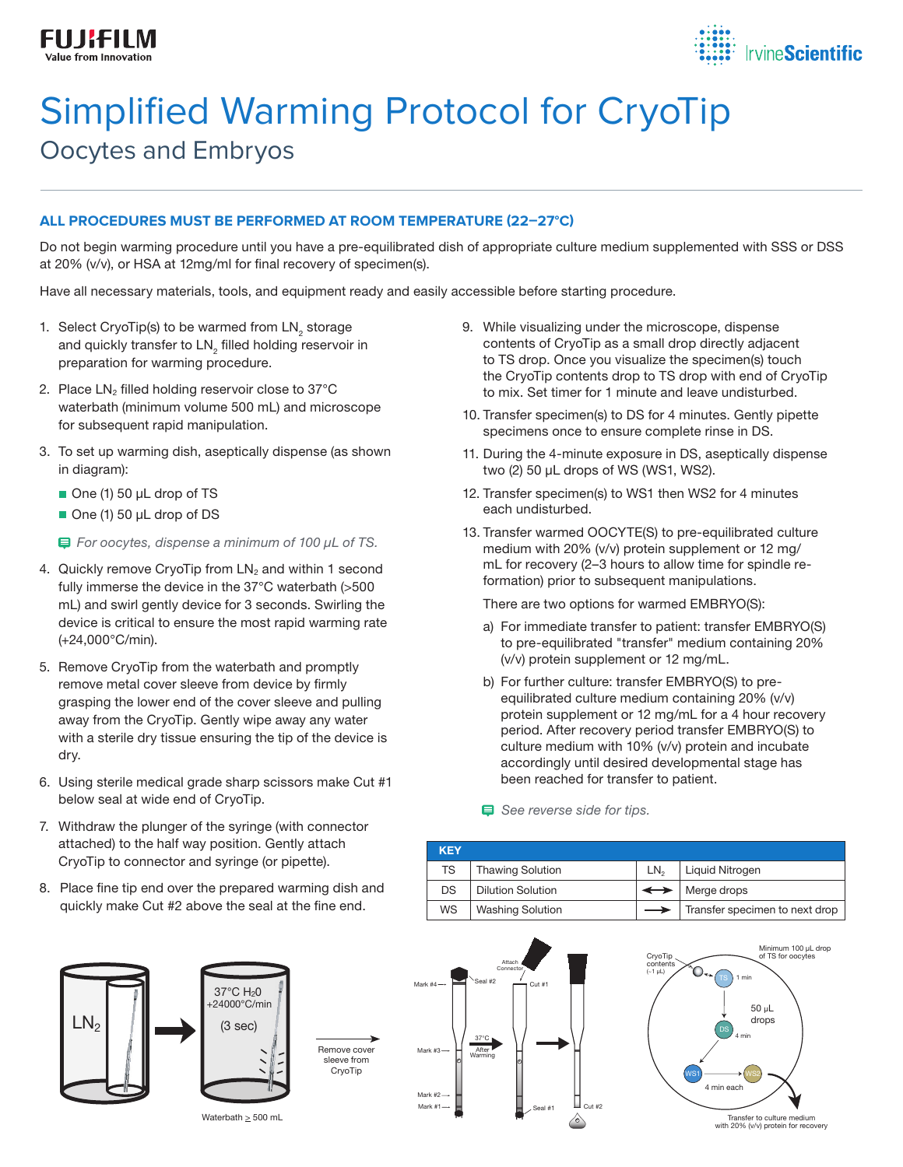

# Simplified Warming Protocol for CryoTip Oocytes and Embryos

### **ALL PROCEDURES MUST BE PERFORMED AT ROOM TEMPERATURE (22–27°C)**

Do not begin warming procedure until you have a pre-equilibrated dish of appropriate culture medium supplemented with SSS or DSS at 20% (v/v), or HSA at 12mg/ml for final recovery of specimen(s).

Have all necessary materials, tools, and equipment ready and easily accessible before starting procedure.

- 1. Select CryoTip(s) to be warmed from  $LN<sub>2</sub>$  storage and quickly transfer to  $\mathsf{LN}_2$  filled holding reservoir in preparation for warming procedure.
- 2. Place  $LN<sub>2</sub>$  filled holding reservoir close to 37 $°C$ waterbath (minimum volume 500 mL) and microscope for subsequent rapid manipulation.
- 3. To set up warming dish, aseptically dispense (as shown in diagram):
	- One (1) 50 µL drop of TS
	- One (1) 50 µL drop of DS

 *For oocytes, dispense a minimum of 100 µL of TS.*

- 4. Quickly remove CryoTip from  $LN<sub>2</sub>$  and within 1 second fully immerse the device in the 37°C waterbath (>500 mL) and swirl gently device for 3 seconds. Swirling the device is critical to ensure the most rapid warming rate (+24,000°C/min).
- 5. Remove CryoTip from the waterbath and promptly remove metal cover sleeve from device by firmly grasping the lower end of the cover sleeve and pulling away from the CryoTip. Gently wipe away any water with a sterile dry tissue ensuring the tip of the device is dry.
- 6. Using sterile medical grade sharp scissors make Cut #1 below seal at wide end of CryoTip.
- 7. Withdraw the plunger of the syringe (with connector attached) to the half way position. Gently attach CryoTip to connector and syringe (or pipette).
- 8. Place fine tip end over the prepared warming dish and quickly make Cut #2 above the seal at the fine end.
- 9. While visualizing under the microscope, dispense contents of CryoTip as a small drop directly adjacent to TS drop. Once you visualize the specimen(s) touch the CryoTip contents drop to TS drop with end of CryoTip to mix. Set timer for 1 minute and leave undisturbed.
- 10. Transfer specimen(s) to DS for 4 minutes. Gently pipette specimens once to ensure complete rinse in DS.
- 11. During the 4-minute exposure in DS, aseptically dispense two (2) 50 µL drops of WS (WS1, WS2).
- 12. Transfer specimen(s) to WS1 then WS2 for 4 minutes each undisturbed.
- 13. Transfer warmed OOCYTE(S) to pre-equilibrated culture medium with 20% (v/v) protein supplement or 12 mg/ mL for recovery (2–3 hours to allow time for spindle reformation) prior to subsequent manipulations.

There are two options for warmed EMBRYO(S):

- a) For immediate transfer to patient: transfer EMBRYO(S) to pre-equilibrated "transfer" medium containing 20% (v/v) protein supplement or 12 mg/mL.
- b) For further culture: transfer EMBRYO(S) to preequilibrated culture medium containing 20% (v/v) protein supplement or 12 mg/mL for a 4 hour recovery period. After recovery period transfer EMBRYO(S) to culture medium with 10% (v/v) protein and incubate accordingly until desired developmental stage has been reached for transfer to patient.

 *See reverse side for tips.*

| <b>KEY</b> |                          |     |                                |
|------------|--------------------------|-----|--------------------------------|
| TS         | <b>Thawing Solution</b>  | LN. | Liquid Nitrogen                |
| D.S        | <b>Dilution Solution</b> |     | $\leftrightarrow$ Merge drops  |
| <b>WS</b>  | <b>Washing Solution</b>  |     | Transfer specimen to next drop |







Waterbath > 500 mL